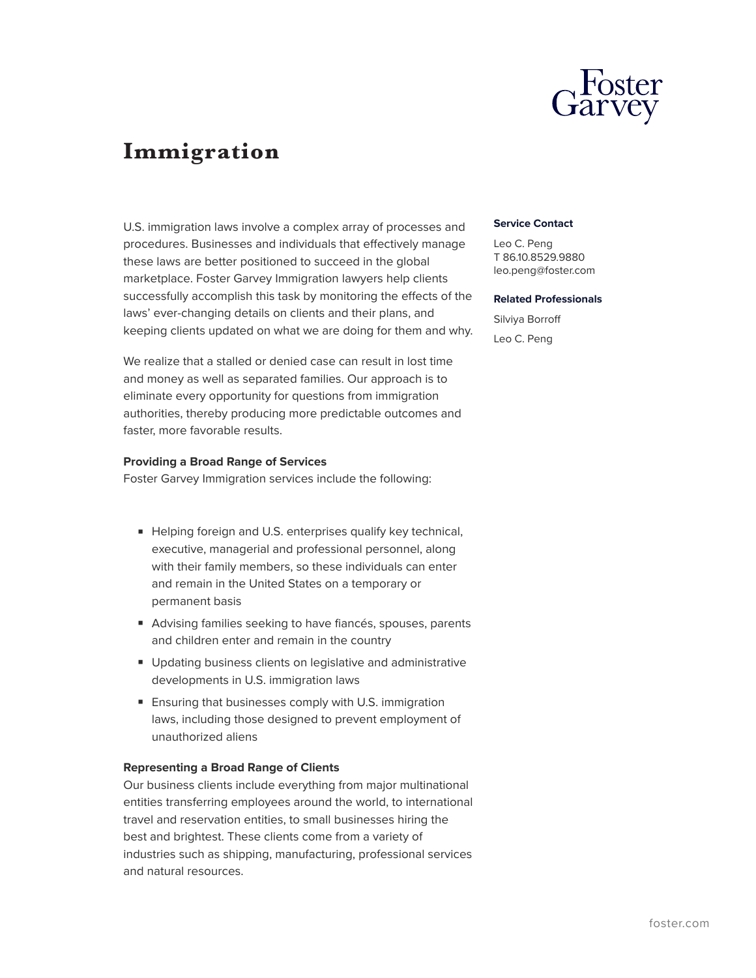

# **Immigration**

U.S. immigration laws involve a complex array of processes and procedures. Businesses and individuals that effectively manage these laws are better positioned to succeed in the global marketplace. Foster Garvey Immigration lawyers help clients successfully accomplish this task by monitoring the effects of the laws' ever-changing details on clients and their plans, and keeping clients updated on what we are doing for them and why.

We realize that a stalled or denied case can result in lost time and money as well as separated families. Our approach is to eliminate every opportunity for questions from immigration authorities, thereby producing more predictable outcomes and faster, more favorable results.

#### **Providing a Broad Range of Services**

Foster Garvey Immigration services include the following:

- Helping foreign and U.S. enterprises qualify key technical, executive, managerial and professional personnel, along with their family members, so these individuals can enter and remain in the United States on a temporary or permanent basis
- Advising families seeking to have fiancés, spouses, parents and children enter and remain in the country
- Updating business clients on legislative and administrative developments in U.S. immigration laws
- Ensuring that businesses comply with U.S. immigration laws, including those designed to prevent employment of unauthorized aliens

#### **Representing a Broad Range of Clients**

Our business clients include everything from major multinational entities transferring employees around the world, to international travel and reservation entities, to small businesses hiring the best and brightest. These clients come from a variety of industries such as shipping, manufacturing, professional services and natural resources.

#### **Service Contact**

Leo C. Peng T 86.10.8529.9880 leo.peng@foster.com

#### **Related Professionals**

Silviya Borroff Leo C. Peng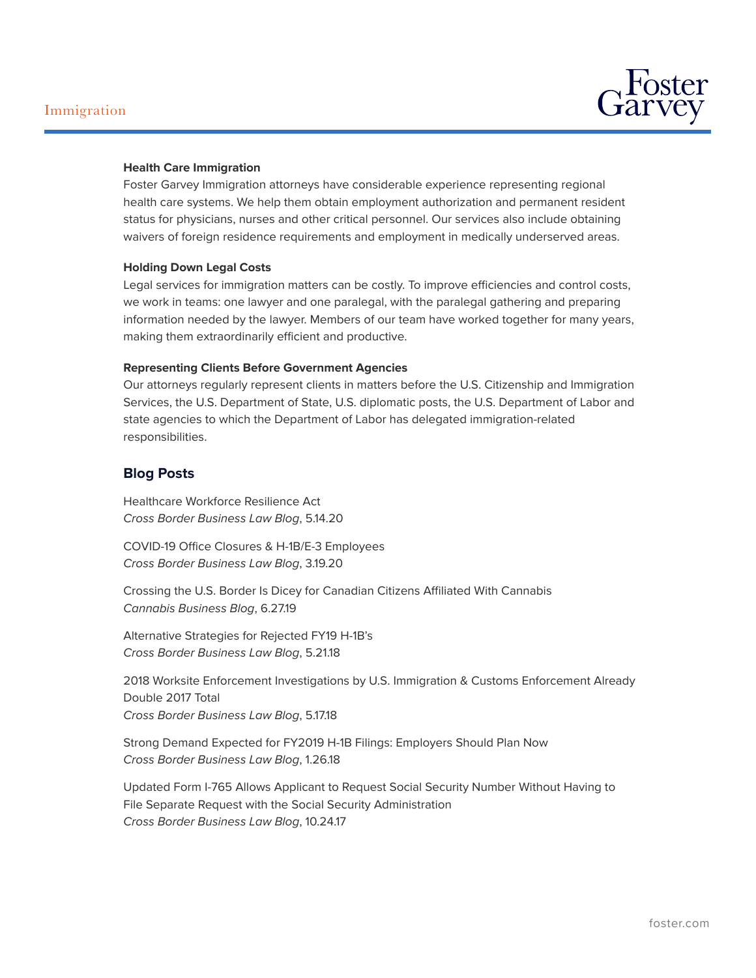

### **Health Care Immigration**

Foster Garvey Immigration attorneys have considerable experience representing regional health care systems. We help them obtain employment authorization and permanent resident status for physicians, nurses and other critical personnel. Our services also include obtaining waivers of foreign residence requirements and employment in medically underserved areas.

#### **Holding Down Legal Costs**

Legal services for immigration matters can be costly. To improve efficiencies and control costs, we work in teams: one lawyer and one paralegal, with the paralegal gathering and preparing information needed by the lawyer. Members of our team have worked together for many years, making them extraordinarily efficient and productive.

#### **Representing Clients Before Government Agencies**

Our attorneys regularly represent clients in matters before the U.S. Citizenship and Immigration Services, the U.S. Department of State, U.S. diplomatic posts, the U.S. Department of Labor and state agencies to which the Department of Labor has delegated immigration-related responsibilities.

## **Blog Posts**

Healthcare Workforce Resilience Act *Cross Border Business Law Blog*, 5.14.20

COVID-19 Office Closures & H-1B/E-3 Employees *Cross Border Business Law Blog*, 3.19.20

Crossing the U.S. Border Is Dicey for Canadian Citizens Affiliated With Cannabis *Cannabis Business Blog*, 6.27.19

Alternative Strategies for Rejected FY19 H-1B's *Cross Border Business Law Blog*, 5.21.18

2018 Worksite Enforcement Investigations by U.S. Immigration & Customs Enforcement Already Double 2017 Total *Cross Border Business Law Blog*, 5.17.18

Strong Demand Expected for FY2019 H-1B Filings: Employers Should Plan Now *Cross Border Business Law Blog*, 1.26.18

Updated Form I-765 Allows Applicant to Request Social Security Number Without Having to File Separate Request with the Social Security Administration *Cross Border Business Law Blog*, 10.24.17